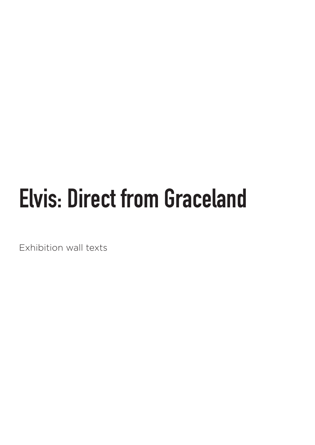# **Elvis: Direct from Graceland**

Exhibition wall texts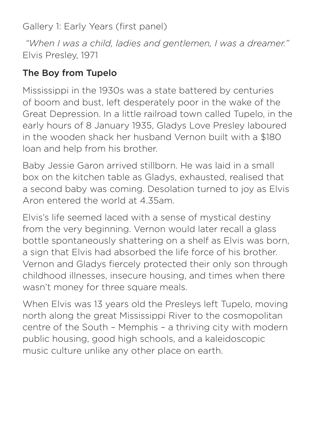Gallery 1: Early Years (first panel)

 *"When I was a child, ladies and gentlemen, I was a dreamer."* Elvis Presley, 1971

# The Boy from Tupelo

Mississippi in the 1930s was a state battered by centuries of boom and bust, left desperately poor in the wake of the Great Depression. In a little railroad town called Tupelo, in the early hours of 8 January 1935, Gladys Love Presley laboured in the wooden shack her husband Vernon built with a \$180 loan and help from his brother.

Baby Jessie Garon arrived stillborn. He was laid in a small box on the kitchen table as Gladys, exhausted, realised that a second baby was coming. Desolation turned to joy as Elvis Aron entered the world at 4.35am.

Elvis's life seemed laced with a sense of mystical destiny from the very beginning. Vernon would later recall a glass bottle spontaneously shattering on a shelf as Elvis was born, a sign that Elvis had absorbed the life force of his brother. Vernon and Gladys fiercely protected their only son through childhood illnesses, insecure housing, and times when there wasn't money for three square meals.

When Elvis was 13 years old the Presleys left Tupelo, moving north along the great Mississippi River to the cosmopolitan centre of the South – Memphis – a thriving city with modern public housing, good high schools, and a kaleidoscopic music culture unlike any other place on earth.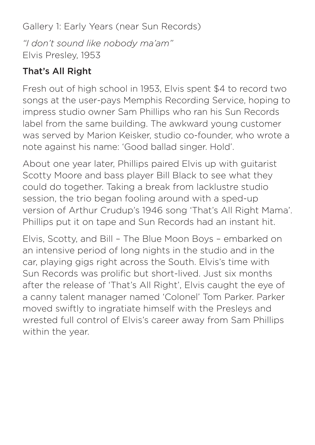Gallery 1: Early Years (near Sun Records)

*"I don't sound like nobody ma'am"* Elvis Presley, 1953

# That's All Right

Fresh out of high school in 1953, Elvis spent \$4 to record two songs at the user-pays Memphis Recording Service, hoping to impress studio owner Sam Phillips who ran his Sun Records label from the same building. The awkward young customer was served by Marion Keisker, studio co-founder, who wrote a note against his name: 'Good ballad singer. Hold'.

About one year later, Phillips paired Elvis up with guitarist Scotty Moore and bass player Bill Black to see what they could do together. Taking a break from lacklustre studio session, the trio began fooling around with a sped-up version of Arthur Crudup's 1946 song 'That's All Right Mama'. Phillips put it on tape and Sun Records had an instant hit.

Elvis, Scotty, and Bill – The Blue Moon Boys – embarked on an intensive period of long nights in the studio and in the car, playing gigs right across the South. Elvis's time with Sun Records was prolific but short-lived. Just six months after the release of 'That's All Right', Elvis caught the eye of a canny talent manager named 'Colonel' Tom Parker. Parker moved swiftly to ingratiate himself with the Presleys and wrested full control of Elvis's career away from Sam Phillips within the year.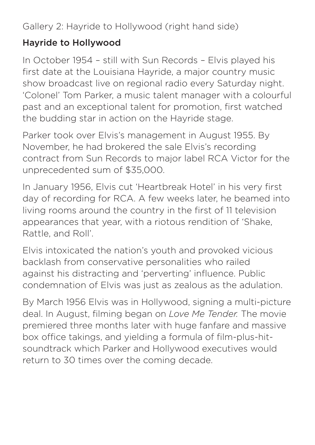Gallery 2: Hayride to Hollywood (right hand side)

#### Hayride to Hollywood

In October 1954 – still with Sun Records – Elvis played his first date at the Louisiana Hayride, a major country music show broadcast live on regional radio every Saturday night. 'Colonel' Tom Parker, a music talent manager with a colourful past and an exceptional talent for promotion, first watched the budding star in action on the Hayride stage.

Parker took over Elvis's management in August 1955. By November, he had brokered the sale Elvis's recording contract from Sun Records to major label RCA Victor for the unprecedented sum of \$35,000.

In January 1956, Elvis cut 'Heartbreak Hotel' in his very first day of recording for RCA. A few weeks later, he beamed into living rooms around the country in the first of 11 television appearances that year, with a riotous rendition of 'Shake, Rattle, and Roll'.

Elvis intoxicated the nation's youth and provoked vicious backlash from conservative personalities who railed against his distracting and 'perverting' influence. Public condemnation of Elvis was just as zealous as the adulation.

By March 1956 Elvis was in Hollywood, signing a multi-picture deal. In August, filming began on *Love Me Tender.* The movie premiered three months later with huge fanfare and massive box office takings, and yielding a formula of film-plus-hitsoundtrack which Parker and Hollywood executives would return to 30 times over the coming decade.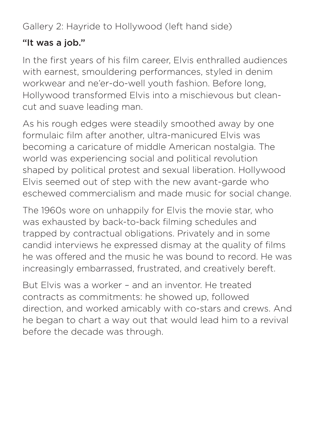Gallery 2: Hayride to Hollywood (left hand side)

#### "It was a job."

In the first years of his film career, Elvis enthralled audiences with earnest, smouldering performances, styled in denim workwear and ne'er-do-well youth fashion. Before long, Hollywood transformed Elvis into a mischievous but cleancut and suave leading man.

As his rough edges were steadily smoothed away by one formulaic film after another, ultra-manicured Elvis was becoming a caricature of middle American nostalgia. The world was experiencing social and political revolution shaped by political protest and sexual liberation. Hollywood Elvis seemed out of step with the new avant-garde who eschewed commercialism and made music for social change.

The 1960s wore on unhappily for Elvis the movie star, who was exhausted by back-to-back filming schedules and trapped by contractual obligations. Privately and in some candid interviews he expressed dismay at the quality of films he was offered and the music he was bound to record. He was increasingly embarrassed, frustrated, and creatively bereft.

But Elvis was a worker – and an inventor. He treated contracts as commitments: he showed up, followed direction, and worked amicably with co-stars and crews. And he began to chart a way out that would lead him to a revival before the decade was through.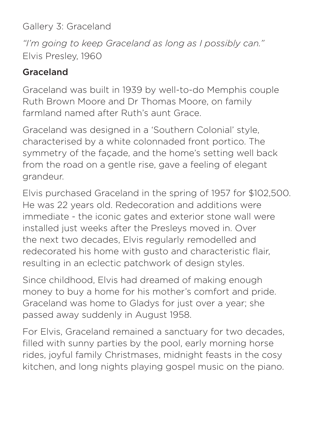Gallery 3: Graceland

*"I'm going to keep Graceland as long as I possibly can."* Elvis Presley, 1960

# Graceland

Graceland was built in 1939 by well-to-do Memphis couple Ruth Brown Moore and Dr Thomas Moore, on family farmland named after Ruth's aunt Grace.

Graceland was designed in a 'Southern Colonial' style, characterised by a white colonnaded front portico. The symmetry of the façade, and the home's setting well back from the road on a gentle rise, gave a feeling of elegant grandeur.

Elvis purchased Graceland in the spring of 1957 for \$102,500. He was 22 years old. Redecoration and additions were immediate - the iconic gates and exterior stone wall were installed just weeks after the Presleys moved in. Over the next two decades, Elvis regularly remodelled and redecorated his home with gusto and characteristic flair, resulting in an eclectic patchwork of design styles.

Since childhood, Elvis had dreamed of making enough money to buy a home for his mother's comfort and pride. Graceland was home to Gladys for just over a year; she passed away suddenly in August 1958.

For Elvis, Graceland remained a sanctuary for two decades, filled with sunny parties by the pool, early morning horse rides, joyful family Christmases, midnight feasts in the cosy kitchen, and long nights playing gospel music on the piano.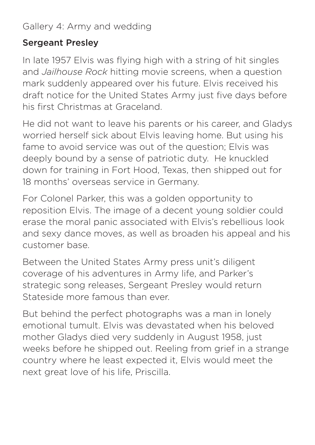Gallery 4: Army and wedding

#### Sergeant Presley

In late 1957 Elvis was flying high with a string of hit singles and *Jailhouse Rock* hitting movie screens, when a question mark suddenly appeared over his future. Elvis received his draft notice for the United States Army just five days before his first Christmas at Graceland.

He did not want to leave his parents or his career, and Gladys worried herself sick about Elvis leaving home. But using his fame to avoid service was out of the question; Elvis was deeply bound by a sense of patriotic duty. He knuckled down for training in Fort Hood, Texas, then shipped out for 18 months' overseas service in Germany.

For Colonel Parker, this was a golden opportunity to reposition Elvis. The image of a decent young soldier could erase the moral panic associated with Elvis's rebellious look and sexy dance moves, as well as broaden his appeal and his customer base.

Between the United States Army press unit's diligent coverage of his adventures in Army life, and Parker's strategic song releases, Sergeant Presley would return Stateside more famous than ever.

But behind the perfect photographs was a man in lonely emotional tumult. Elvis was devastated when his beloved mother Gladys died very suddenly in August 1958, just weeks before he shipped out. Reeling from grief in a strange country where he least expected it, Elvis would meet the next great love of his life, Priscilla.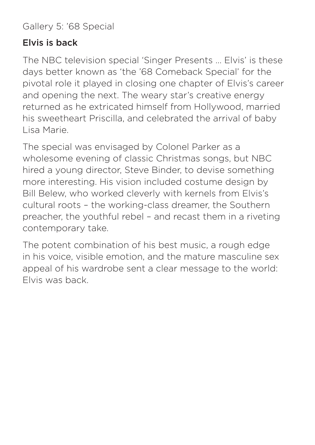Gallery 5: '68 Special

#### Elvis is back

The NBC television special 'Singer Presents … Elvis' is these days better known as 'the '68 Comeback Special' for the pivotal role it played in closing one chapter of Elvis's career and opening the next. The weary star's creative energy returned as he extricated himself from Hollywood, married his sweetheart Priscilla, and celebrated the arrival of baby Lisa Marie.

The special was envisaged by Colonel Parker as a wholesome evening of classic Christmas songs, but NBC hired a young director, Steve Binder, to devise something more interesting. His vision included costume design by Bill Belew, who worked cleverly with kernels from Elvis's cultural roots – the working-class dreamer, the Southern preacher, the youthful rebel – and recast them in a riveting contemporary take.

The potent combination of his best music, a rough edge in his voice, visible emotion, and the mature masculine sex appeal of his wardrobe sent a clear message to the world: Elvis was back.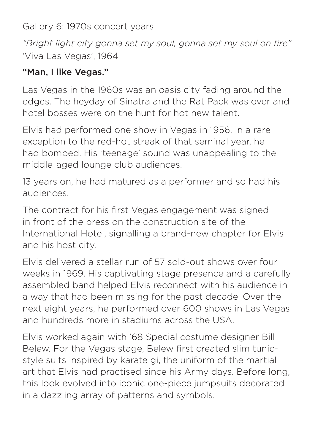Gallery 6: 1970s concert years

*"Bright light city gonna set my soul, gonna set my soul on fire"* 'Viva Las Vegas', 1964

#### "Man, I like Vegas."

Las Vegas in the 1960s was an oasis city fading around the edges. The heyday of Sinatra and the Rat Pack was over and hotel bosses were on the hunt for hot new talent.

Elvis had performed one show in Vegas in 1956. In a rare exception to the red-hot streak of that seminal year, he had bombed. His 'teenage' sound was unappealing to the middle-aged lounge club audiences.

13 years on, he had matured as a performer and so had his audiences.

The contract for his first Vegas engagement was signed in front of the press on the construction site of the International Hotel, signalling a brand-new chapter for Elvis and his host city.

Elvis delivered a stellar run of 57 sold-out shows over four weeks in 1969. His captivating stage presence and a carefully assembled band helped Elvis reconnect with his audience in a way that had been missing for the past decade. Over the next eight years, he performed over 600 shows in Las Vegas and hundreds more in stadiums across the USA.

Elvis worked again with '68 Special costume designer Bill Belew. For the Vegas stage, Belew first created slim tunicstyle suits inspired by karate gi, the uniform of the martial art that Elvis had practised since his Army days. Before long, this look evolved into iconic one-piece jumpsuits decorated in a dazzling array of patterns and symbols.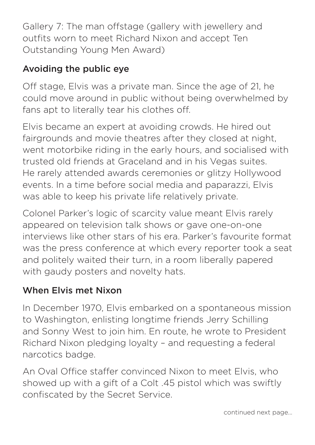Gallery 7: The man offstage (gallery with jewellery and outfits worn to meet Richard Nixon and accept Ten Outstanding Young Men Award)

# Avoiding the public eye

Off stage, Elvis was a private man. Since the age of 21, he could move around in public without being overwhelmed by fans apt to literally tear his clothes off.

Elvis became an expert at avoiding crowds. He hired out fairgrounds and movie theatres after they closed at night, went motorbike riding in the early hours, and socialised with trusted old friends at Graceland and in his Vegas suites. He rarely attended awards ceremonies or glitzy Hollywood events. In a time before social media and paparazzi, Elvis was able to keep his private life relatively private.

Colonel Parker's logic of scarcity value meant Elvis rarely appeared on television talk shows or gave one-on-one interviews like other stars of his era. Parker's favourite format was the press conference at which every reporter took a seat and politely waited their turn, in a room liberally papered with gaudy posters and novelty hats.

# When Elvis met Nixon

In December 1970, Elvis embarked on a spontaneous mission to Washington, enlisting longtime friends Jerry Schilling and Sonny West to join him. En route, he wrote to President Richard Nixon pledging loyalty – and requesting a federal narcotics badge.

An Oval Office staffer convinced Nixon to meet Elvis, who showed up with a gift of a Colt .45 pistol which was swiftly confiscated by the Secret Service.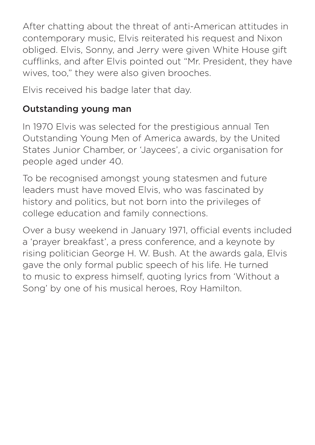After chatting about the threat of anti-American attitudes in contemporary music, Elvis reiterated his request and Nixon obliged. Elvis, Sonny, and Jerry were given White House gift cufflinks, and after Elvis pointed out "Mr. President, they have wives, too," they were also given brooches.

Elvis received his badge later that day.

### Outstanding young man

In 1970 Elvis was selected for the prestigious annual Ten Outstanding Young Men of America awards, by the United States Junior Chamber, or 'Jaycees', a civic organisation for people aged under 40.

To be recognised amongst young statesmen and future leaders must have moved Elvis, who was fascinated by history and politics, but not born into the privileges of college education and family connections.

Over a busy weekend in January 1971, official events included a 'prayer breakfast', a press conference, and a keynote by rising politician George H. W. Bush. At the awards gala, Elvis gave the only formal public speech of his life. He turned to music to express himself, quoting lyrics from 'Without a Song' by one of his musical heroes, Roy Hamilton.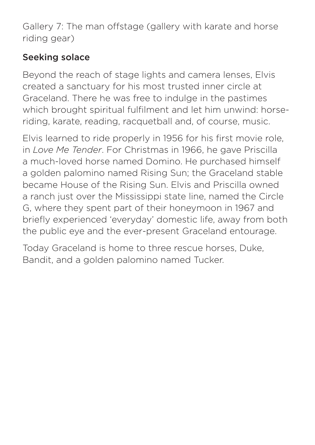Gallery 7: The man offstage (gallery with karate and horse riding gear)

## Seeking solace

Beyond the reach of stage lights and camera lenses, Elvis created a sanctuary for his most trusted inner circle at Graceland. There he was free to indulge in the pastimes which brought spiritual fulfilment and let him unwind: horseriding, karate, reading, racquetball and, of course, music.

Elvis learned to ride properly in 1956 for his first movie role, in *Love Me Tender*. For Christmas in 1966, he gave Priscilla a much-loved horse named Domino. He purchased himself a golden palomino named Rising Sun; the Graceland stable became House of the Rising Sun. Elvis and Priscilla owned a ranch just over the Mississippi state line, named the Circle G, where they spent part of their honeymoon in 1967 and briefly experienced 'everyday' domestic life, away from both the public eye and the ever-present Graceland entourage.

Today Graceland is home to three rescue horses, Duke, Bandit, and a golden palomino named Tucker.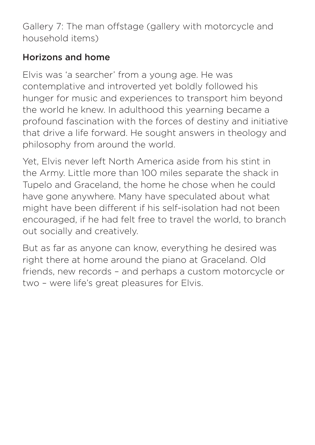Gallery 7: The man offstage (gallery with motorcycle and household items)

# Horizons and home

Elvis was 'a searcher' from a young age. He was contemplative and introverted yet boldly followed his hunger for music and experiences to transport him beyond the world he knew. In adulthood this yearning became a profound fascination with the forces of destiny and initiative that drive a life forward. He sought answers in theology and philosophy from around the world.

Yet, Elvis never left North America aside from his stint in the Army. Little more than 100 miles separate the shack in Tupelo and Graceland, the home he chose when he could have gone anywhere. Many have speculated about what might have been different if his self-isolation had not been encouraged, if he had felt free to travel the world, to branch out socially and creatively.

But as far as anyone can know, everything he desired was right there at home around the piano at Graceland. Old friends, new records – and perhaps a custom motorcycle or two – were life's great pleasures for Elvis.